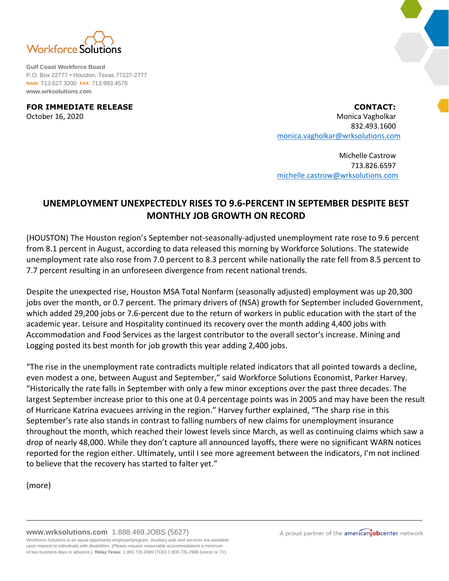

**Gulf Coast Workforce Board** P.O. Box 22777 • Houston, Texas 77227-2777 **MAIN:** 713.627.3200 **FAX:** 713.993.4578 **www.wrksolutions.com**

**FOR IMMEDIATE RELEASE CONTACT:** October 16, 2020 **Monica Vagholkar** Monica Vagholkar Monica Vagholkar Monica Vagholkar 832.493.1600 [monica.vagholkar@wrksolutions.com](mailto:monica.vagholkar@wrksolutions.com)

> Michelle Castrow 713.826.6597 [michelle.castrow@wrksolutions.com](mailto:michelle.castrow@wrksolutions.com)

## **UNEMPLOYMENT UNEXPECTEDLY RISES TO 9.6-PERCENT IN SEPTEMBER DESPITE BEST MONTHLY JOB GROWTH ON RECORD**

(HOUSTON) The Houston region's September not-seasonally-adjusted unemployment rate rose to 9.6 percent from 8.1 percent in August, according to data released this morning by Workforce Solutions. The statewide unemployment rate also rose from 7.0 percent to 8.3 percent while nationally the rate fell from 8.5 percent to 7.7 percent resulting in an unforeseen divergence from recent national trends.

Despite the unexpected rise, Houston MSA Total Nonfarm (seasonally adjusted) employment was up 20,300 jobs over the month, or 0.7 percent. The primary drivers of (NSA) growth for September included Government, which added 29,200 jobs or 7.6-percent due to the return of workers in public education with the start of the academic year. Leisure and Hospitality continued its recovery over the month adding 4,400 jobs with Accommodation and Food Services as the largest contributor to the overall sector's increase. Mining and Logging posted its best month for job growth this year adding 2,400 jobs.

"The rise in the unemployment rate contradicts multiple related indicators that all pointed towards a decline, even modest a one, between August and September," said Workforce Solutions Economist, Parker Harvey. "Historically the rate falls in September with only a few minor exceptions over the past three decades. The largest September increase prior to this one at 0.4 percentage points was in 2005 and may have been the result of Hurricane Katrina evacuees arriving in the region." Harvey further explained, "The sharp rise in this September's rate also stands in contrast to falling numbers of new claims for unemployment insurance throughout the month, which reached their lowest levels since March, as well as continuing claims which saw a drop of nearly 48,000. While they don't capture all announced layoffs, there were no significant WARN notices reported for the region either. Ultimately, until I see more agreement between the indicators, I'm not inclined to believe that the recovery has started to falter yet."

(more)